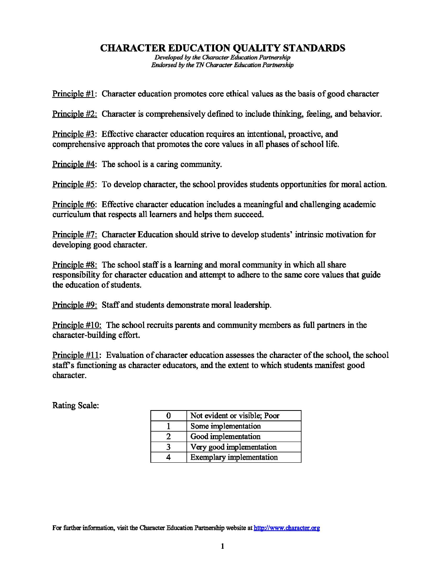# **CHARACTER EDUCATION QUALITY STANDARDS**

*Developed* by *the Chamcter Education Partnership Endorsed by the TN Character Education Partnership* 

Principle #1: Character education promotes core ethical values as the basis of good character

Principle #2: Character is comprehensively defined to include thinking, feeling, and behavior.

Principle #3: Effective character education requires an intentional, proactive, and comprehensive approach that promotes the core values in all phases of school life.

Principle #4: The school is a caring community.

Principle #5: To develop character, the school provides students opportunities for moral action.

Principle #6: Effective character education includes a meaningful and challenging academic curriculum that respects all learners and helps them succeed.

Principle #7: Character Education should strive to develop students' intrinsic motivation for developing good character.

Principle #8: The school staff is a learning and moral community in which all share responsibility for character education and attempt to adhere to the same core values that guide the education of students.

Principle #9: Staffand students demonstrate moral leadership.

Principle #10: The school recruits parents and community members as full partners in the character-building effort.

Principle  $#11$ : Evaluation of character education assesses the character of the school, the school staff's functioning as character educators, and the extent to which students manifest good character.

Rating Scale:

| Not evident or visible; Poor    |
|---------------------------------|
| Some implementation             |
| Good implementation             |
| Very good implementation        |
| <b>Exemplary</b> implementation |

For further information, visit the Character Education Partnership website at http://www.character.org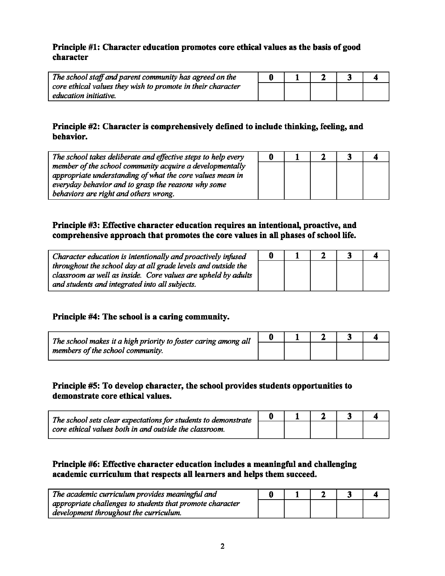#### Principle #1: Character education promotes core ethical values as the basis of good character

| The school staff and parent community has agreed on the     |  |  |  |
|-------------------------------------------------------------|--|--|--|
| core ethical values they wish to promote in their character |  |  |  |
| education initiative.                                       |  |  |  |

# Principle #2: Character is comprehensively defined to include thinking, feeling, and behavior.

| The school takes deliberate and effective steps to help every | Đ |  |  |
|---------------------------------------------------------------|---|--|--|
| member of the school community acquire a developmentally      |   |  |  |
| appropriate understanding of what the core values mean in     |   |  |  |
| everyday behavior and to grasp the reasons why some           |   |  |  |
| behaviors are right and others wrong.                         |   |  |  |

# Principle #3: Effective character education requires an intentional, proactive, and comprehensive approach that promotes the core values in all phases of school life.

| Character education is intentionally and proactively infused  | 0 |  |  |
|---------------------------------------------------------------|---|--|--|
| throughout the school day at all grade levels and outside the |   |  |  |
| classroom as well as inside. Core values are upheld by adults |   |  |  |
| and students and integrated into all subjects.                |   |  |  |

# Principle #4: The school is a caring community.

| The school makes it a high priority to foster caring among all |  |  |  |
|----------------------------------------------------------------|--|--|--|
| members of the school community.                               |  |  |  |

# Principle #5: To develop character, the school provides students opportunities to demonstrate core ethical values.

| $\lq$ The school sets clear expectations for students to demonstrate<br>$\vert$ core ethical values both in and outside the classroom. |  |  |  |
|----------------------------------------------------------------------------------------------------------------------------------------|--|--|--|
|                                                                                                                                        |  |  |  |

# Principle #6: Effective character education includes a meaningful and challenging academic curriculum that respects all learners and helps them succeed.

| The academic curriculum provides meaningful and           |  |  |  |
|-----------------------------------------------------------|--|--|--|
| appropriate challenges to students that promote character |  |  |  |
| development throughout the curriculum.                    |  |  |  |